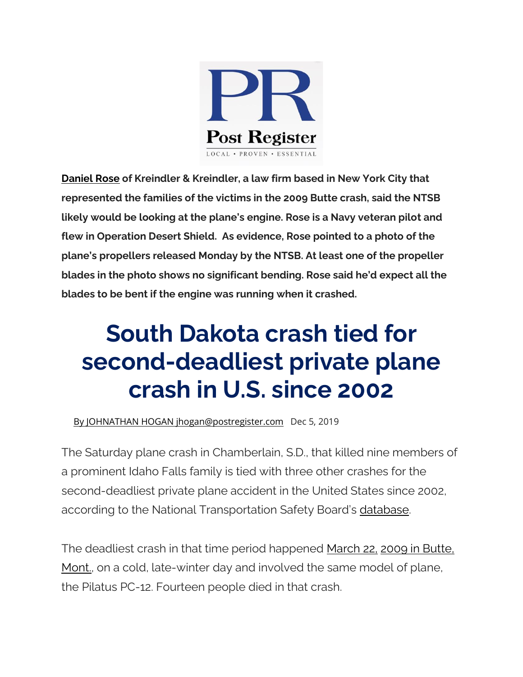

**[Daniel Rose](https://www.kreindler.com/Attorneys/Daniel-O-Rose.shtml) of Kreindler & Kreindler, a law firm based in New York City that represented the families of the victims in the 2009 Butte crash, said the NTSB likely would be looking at the plane's engine. Rose is a Navy veteran pilot and flew in Operation Desert Shield. As evidence, Rose pointed to a photo of the plane's propellers released Monday by the NTSB. At least one of the propeller blades in the photo shows no significant bending. Rose said he'd expect all the blades to be bent if the engine was running when it crashed.**

## **South Dakota crash tied for second-deadliest private plane crash in U.S. since 2002**

[By JOHNATHAN HOGAN jhogan@postregister.com](https://www.postregister.com/users/profile/JohnathanHogan) Dec 5, 2019

The Saturday plane crash in Chamberlain, S.D., that killed nine members of a prominent Idaho Falls family is tied with three other crashes for the second-deadliest private plane accident in the United States since 2002, according to the National Transportation Safety Board's [database.](https://www.ntsb.gov/_layouts/ntsb.aviation/index.aspx)

The deadliest crash in that time period happened [March 22,](https://www.nytimes.com/2009/03/24/us/24crash.html) [2009 in Butte,](https://www.nytimes.com/2009/03/24/us/24crash.html)  Mont<sub>r</sub>, on a cold, late-winter day and involved the same model of plane, the Pilatus PC-12. Fourteen people died in that crash.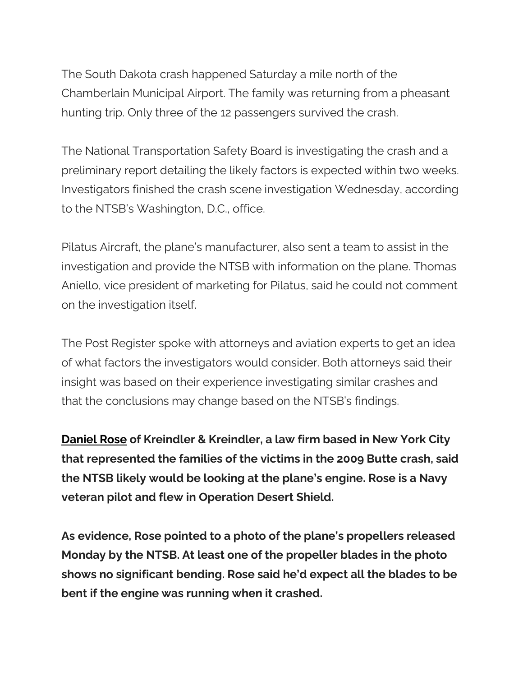The South Dakota crash happened Saturday a mile north of the Chamberlain Municipal Airport. The family was returning from a pheasant hunting trip. Only three of the 12 passengers survived the crash.

The National Transportation Safety Board is investigating the crash and a preliminary report detailing the likely factors is expected within two weeks. Investigators finished the crash scene investigation Wednesday, according to the NTSB's Washington, D.C., office.

Pilatus Aircraft, the plane's manufacturer, also sent a team to assist in the investigation and provide the NTSB with information on the plane. Thomas Aniello, vice president of marketing for Pilatus, said he could not comment on the investigation itself.

The Post Register spoke with attorneys and aviation experts to get an idea of what factors the investigators would consider. Both attorneys said their insight was based on their experience investigating similar crashes and that the conclusions may change based on the NTSB's findings.

**[Daniel Rose](https://www.kreindler.com/Attorneys/Daniel-O-Rose.shtml) of Kreindler & Kreindler, a law firm based in New York City that represented the families of the victims in the 2009 Butte crash, said the NTSB likely would be looking at the plane's engine. Rose is a Navy veteran pilot and flew in Operation Desert Shield.**

**As evidence, Rose pointed to a photo of the plane's propellers released Monday by the NTSB. At least one of the propeller blades in the photo shows no significant bending. Rose said he'd expect all the blades to be bent if the engine was running when it crashed.**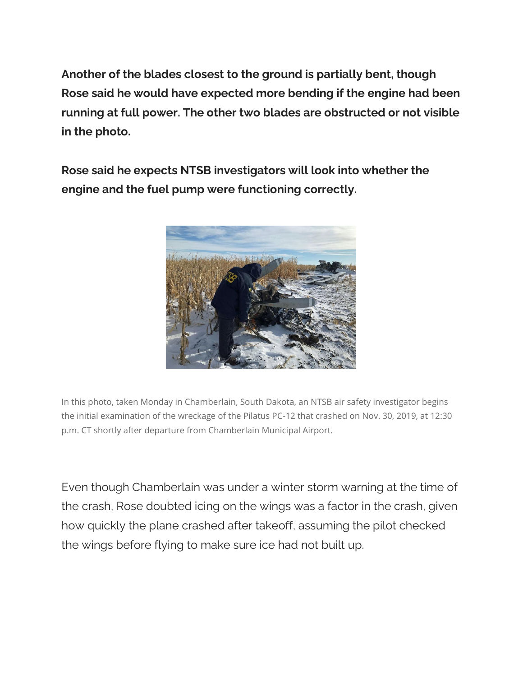**Another of the blades closest to the ground is partially bent, though Rose said he would have expected more bending if the engine had been running at full power. The other two blades are obstructed or not visible in the photo.**

**Rose said he expects NTSB investigators will look into whether the engine and the fuel pump were functioning correctly.**



In this photo, taken Monday in Chamberlain, South Dakota, an NTSB air safety investigator begins the initial examination of the wreckage of the Pilatus PC-12 that crashed on Nov. 30, 2019, at 12:30 p.m. CT shortly after departure from Chamberlain Municipal Airport.

Even though Chamberlain was under a winter storm warning at the time of the crash, Rose doubted icing on the wings was a factor in the crash, given how quickly the plane crashed after takeoff, assuming the pilot checked the wings before flying to make sure ice had not built up.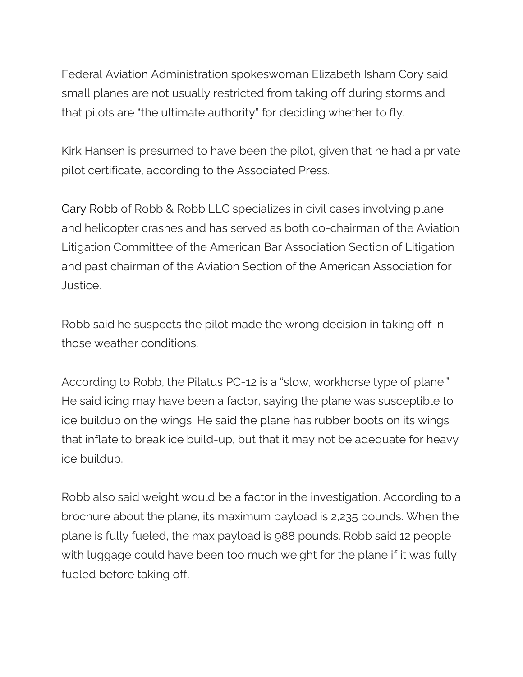Federal Aviation Administration spokeswoman Elizabeth Isham Cory said small planes are not usually restricted from taking off during storms and that pilots are "the ultimate authority" for deciding whether to fly.

Kirk Hansen is presumed to have been the pilot, given that he had a private pilot certificate, according to the Associated Press.

Gary Robb of Robb & Robb LLC specializes in civil cases involving plane and helicopter crashes and has served as both co-chairman of the Aviation Litigation Committee of the American Bar Association Section of Litigation and past chairman of the Aviation Section of the American Association for Justice.

Robb said he suspects the pilot made the wrong decision in taking off in those weather conditions.

According to Robb, the Pilatus PC-12 is a "slow, workhorse type of plane." He said icing may have been a factor, saying the plane was susceptible to ice buildup on the wings. He said the plane has rubber boots on its wings that inflate to break ice build-up, but that it may not be adequate for heavy ice buildup.

Robb also said weight would be a factor in the investigation. According to a brochure about the plane, its maximum payload is 2,235 pounds. When the plane is fully fueled, the max payload is 988 pounds. Robb said 12 people with luggage could have been too much weight for the plane if it was fully fueled before taking off.